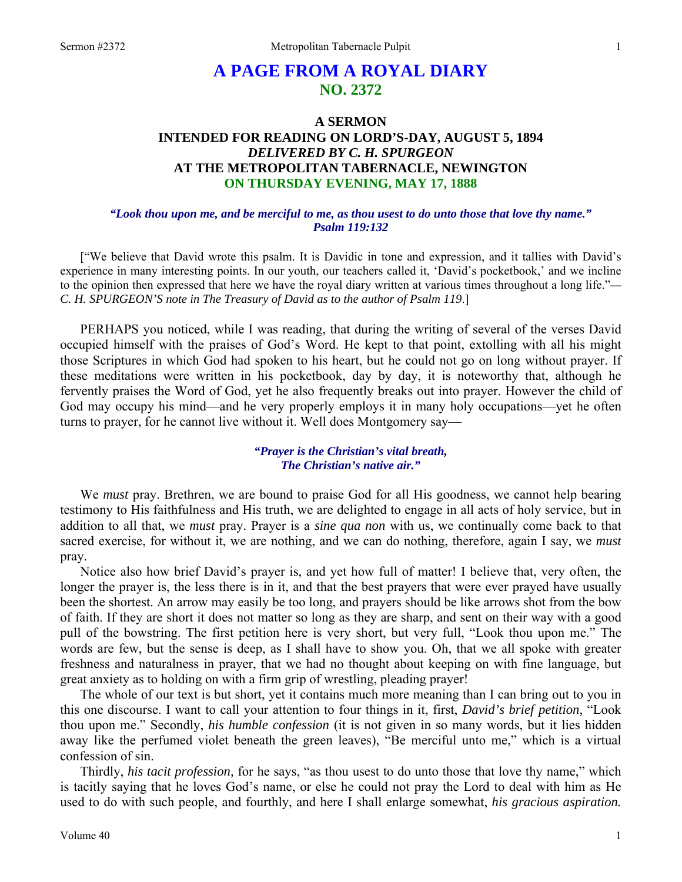# **A PAGE FROM A ROYAL DIARY NO. 2372**

# **A SERMON INTENDED FOR READING ON LORD'S-DAY, AUGUST 5, 1894**  *DELIVERED BY C. H. SPURGEON*  **AT THE METROPOLITAN TABERNACLE, NEWINGTON ON THURSDAY EVENING, MAY 17, 1888**

#### *"Look thou upon me, and be merciful to me, as thou usest to do unto those that love thy name." Psalm 119:132*

["We believe that David wrote this psalm. It is Davidic in tone and expression, and it tallies with David's experience in many interesting points. In our youth, our teachers called it, 'David's pocketbook,' and we incline to the opinion then expressed that here we have the royal diary written at various times throughout a long life."*— C. H. SPURGEON'S note in The Treasury of David as to the author of Psalm 119*.]

PERHAPS you noticed, while I was reading, that during the writing of several of the verses David occupied himself with the praises of God's Word. He kept to that point, extolling with all his might those Scriptures in which God had spoken to his heart, but he could not go on long without prayer. If these meditations were written in his pocketbook, day by day, it is noteworthy that, although he fervently praises the Word of God, yet he also frequently breaks out into prayer. However the child of God may occupy his mind—and he very properly employs it in many holy occupations—yet he often turns to prayer, for he cannot live without it. Well does Montgomery say—

#### *"Prayer is the Christian's vital breath, The Christian's native air."*

We *must* pray. Brethren, we are bound to praise God for all His goodness, we cannot help bearing testimony to His faithfulness and His truth, we are delighted to engage in all acts of holy service, but in addition to all that, we *must* pray. Prayer is a *sine qua non* with us, we continually come back to that sacred exercise, for without it, we are nothing, and we can do nothing, therefore, again I say, we *must*  pray.

Notice also how brief David's prayer is, and yet how full of matter! I believe that, very often, the longer the prayer is, the less there is in it, and that the best prayers that were ever prayed have usually been the shortest. An arrow may easily be too long, and prayers should be like arrows shot from the bow of faith. If they are short it does not matter so long as they are sharp, and sent on their way with a good pull of the bowstring. The first petition here is very short, but very full, "Look thou upon me." The words are few, but the sense is deep, as I shall have to show you. Oh, that we all spoke with greater freshness and naturalness in prayer, that we had no thought about keeping on with fine language, but great anxiety as to holding on with a firm grip of wrestling, pleading prayer!

The whole of our text is but short, yet it contains much more meaning than I can bring out to you in this one discourse. I want to call your attention to four things in it, first, *David's brief petition,* "Look thou upon me." Secondly, *his humble confession* (it is not given in so many words, but it lies hidden away like the perfumed violet beneath the green leaves), "Be merciful unto me," which is a virtual confession of sin.

Thirdly, *his tacit profession,* for he says, "as thou usest to do unto those that love thy name," which is tacitly saying that he loves God's name, or else he could not pray the Lord to deal with him as He used to do with such people, and fourthly, and here I shall enlarge somewhat, *his gracious aspiration.*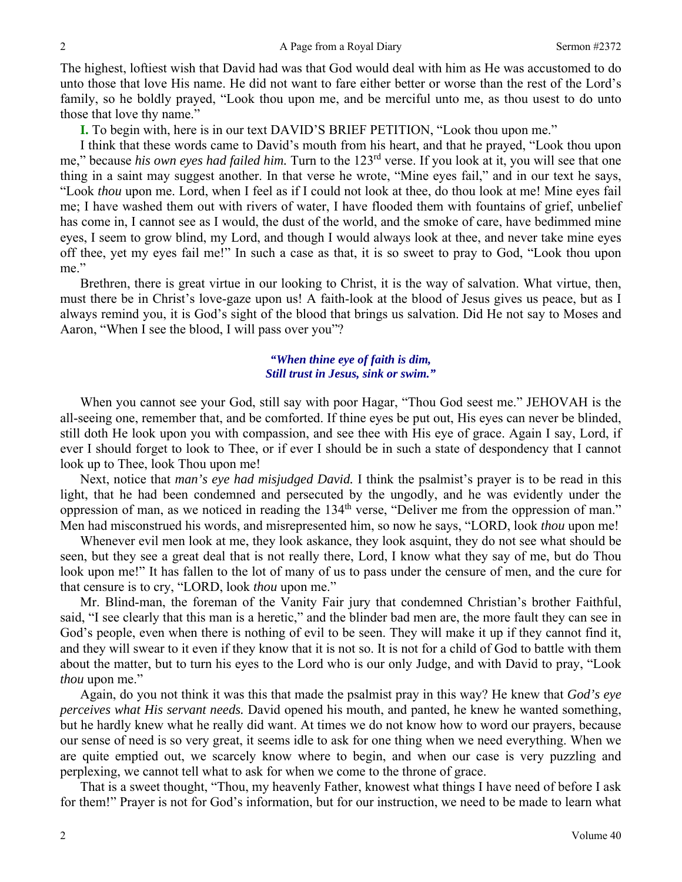The highest, loftiest wish that David had was that God would deal with him as He was accustomed to do unto those that love His name. He did not want to fare either better or worse than the rest of the Lord's family, so he boldly prayed, "Look thou upon me, and be merciful unto me, as thou usest to do unto those that love thy name."

**I.** To begin with, here is in our text DAVID'S BRIEF PETITION, "Look thou upon me."

I think that these words came to David's mouth from his heart, and that he prayed, "Look thou upon me," because *his own eyes had failed him.* Turn to the 123rd verse. If you look at it, you will see that one thing in a saint may suggest another. In that verse he wrote, "Mine eyes fail," and in our text he says, "Look *thou* upon me. Lord, when I feel as if I could not look at thee, do thou look at me! Mine eyes fail me; I have washed them out with rivers of water, I have flooded them with fountains of grief, unbelief has come in, I cannot see as I would, the dust of the world, and the smoke of care, have bedimmed mine eyes, I seem to grow blind, my Lord, and though I would always look at thee, and never take mine eyes off thee, yet my eyes fail me!" In such a case as that, it is so sweet to pray to God, "Look thou upon me."

Brethren, there is great virtue in our looking to Christ, it is the way of salvation. What virtue, then, must there be in Christ's love-gaze upon us! A faith-look at the blood of Jesus gives us peace, but as I always remind you, it is God's sight of the blood that brings us salvation. Did He not say to Moses and Aaron, "When I see the blood, I will pass over you"?

## *"When thine eye of faith is dim, Still trust in Jesus, sink or swim."*

When you cannot see your God, still say with poor Hagar, "Thou God seest me." JEHOVAH is the all-seeing one, remember that, and be comforted. If thine eyes be put out, His eyes can never be blinded, still doth He look upon you with compassion, and see thee with His eye of grace. Again I say, Lord, if ever I should forget to look to Thee, or if ever I should be in such a state of despondency that I cannot look up to Thee, look Thou upon me!

Next, notice that *man's eye had misjudged David.* I think the psalmist's prayer is to be read in this light, that he had been condemned and persecuted by the ungodly, and he was evidently under the oppression of man, as we noticed in reading the 134th verse, "Deliver me from the oppression of man." Men had misconstrued his words, and misrepresented him, so now he says, "LORD, look *thou* upon me!

Whenever evil men look at me, they look askance, they look asquint, they do not see what should be seen, but they see a great deal that is not really there, Lord, I know what they say of me, but do Thou look upon me!" It has fallen to the lot of many of us to pass under the censure of men, and the cure for that censure is to cry, "LORD, look *thou* upon me."

Mr. Blind-man, the foreman of the Vanity Fair jury that condemned Christian's brother Faithful, said, "I see clearly that this man is a heretic," and the blinder bad men are, the more fault they can see in God's people, even when there is nothing of evil to be seen. They will make it up if they cannot find it, and they will swear to it even if they know that it is not so. It is not for a child of God to battle with them about the matter, but to turn his eyes to the Lord who is our only Judge, and with David to pray, "Look *thou* upon me."

Again, do you not think it was this that made the psalmist pray in this way? He knew that *God's eye perceives what His servant needs.* David opened his mouth, and panted, he knew he wanted something, but he hardly knew what he really did want. At times we do not know how to word our prayers, because our sense of need is so very great, it seems idle to ask for one thing when we need everything. When we are quite emptied out, we scarcely know where to begin, and when our case is very puzzling and perplexing, we cannot tell what to ask for when we come to the throne of grace.

That is a sweet thought, "Thou, my heavenly Father, knowest what things I have need of before I ask for them!" Prayer is not for God's information, but for our instruction, we need to be made to learn what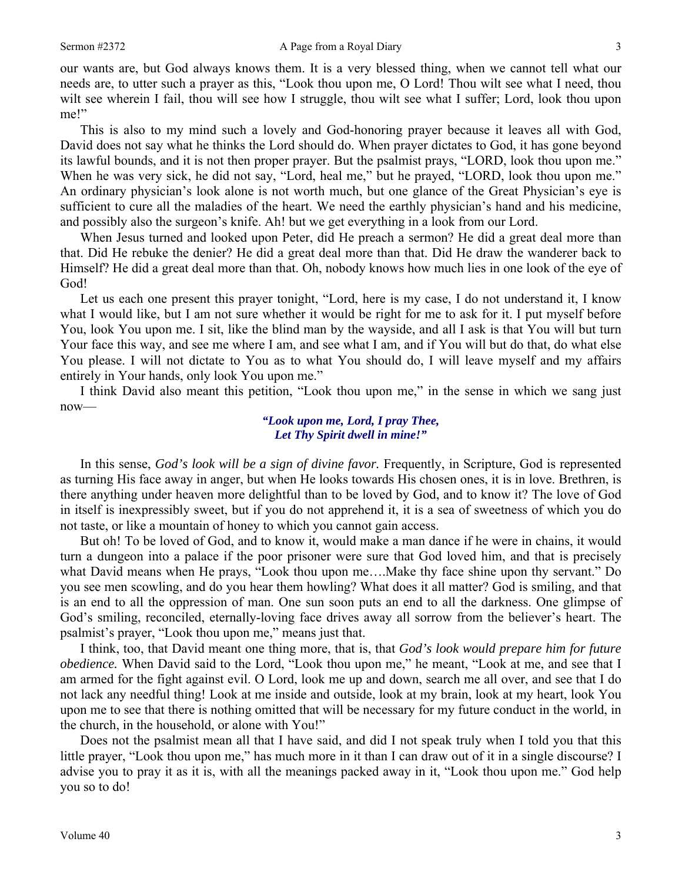our wants are, but God always knows them. It is a very blessed thing, when we cannot tell what our needs are, to utter such a prayer as this, "Look thou upon me, O Lord! Thou wilt see what I need, thou wilt see wherein I fail, thou will see how I struggle, thou wilt see what I suffer; Lord, look thou upon me!"

This is also to my mind such a lovely and God-honoring prayer because it leaves all with God, David does not say what he thinks the Lord should do. When prayer dictates to God, it has gone beyond its lawful bounds, and it is not then proper prayer. But the psalmist prays, "LORD, look thou upon me." When he was very sick, he did not say, "Lord, heal me," but he prayed, "LORD, look thou upon me." An ordinary physician's look alone is not worth much, but one glance of the Great Physician's eye is sufficient to cure all the maladies of the heart. We need the earthly physician's hand and his medicine, and possibly also the surgeon's knife. Ah! but we get everything in a look from our Lord.

When Jesus turned and looked upon Peter, did He preach a sermon? He did a great deal more than that. Did He rebuke the denier? He did a great deal more than that. Did He draw the wanderer back to Himself? He did a great deal more than that. Oh, nobody knows how much lies in one look of the eye of God!

Let us each one present this prayer tonight, "Lord, here is my case, I do not understand it, I know what I would like, but I am not sure whether it would be right for me to ask for it. I put myself before You, look You upon me. I sit, like the blind man by the wayside, and all I ask is that You will but turn Your face this way, and see me where I am, and see what I am, and if You will but do that, do what else You please. I will not dictate to You as to what You should do, I will leave myself and my affairs entirely in Your hands, only look You upon me."

I think David also meant this petition, "Look thou upon me," in the sense in which we sang just now—

#### *"Look upon me, Lord, I pray Thee, Let Thy Spirit dwell in mine!"*

In this sense, *God's look will be a sign of divine favor.* Frequently, in Scripture, God is represented as turning His face away in anger, but when He looks towards His chosen ones, it is in love. Brethren, is there anything under heaven more delightful than to be loved by God, and to know it? The love of God in itself is inexpressibly sweet, but if you do not apprehend it, it is a sea of sweetness of which you do not taste, or like a mountain of honey to which you cannot gain access.

But oh! To be loved of God, and to know it, would make a man dance if he were in chains, it would turn a dungeon into a palace if the poor prisoner were sure that God loved him, and that is precisely what David means when He prays, "Look thou upon me….Make thy face shine upon thy servant." Do you see men scowling, and do you hear them howling? What does it all matter? God is smiling, and that is an end to all the oppression of man. One sun soon puts an end to all the darkness. One glimpse of God's smiling, reconciled, eternally-loving face drives away all sorrow from the believer's heart. The psalmist's prayer, "Look thou upon me," means just that.

I think, too, that David meant one thing more, that is, that *God's look would prepare him for future obedience.* When David said to the Lord, "Look thou upon me," he meant, "Look at me, and see that I am armed for the fight against evil. O Lord, look me up and down, search me all over, and see that I do not lack any needful thing! Look at me inside and outside, look at my brain, look at my heart, look You upon me to see that there is nothing omitted that will be necessary for my future conduct in the world, in the church, in the household, or alone with You!"

Does not the psalmist mean all that I have said, and did I not speak truly when I told you that this little prayer, "Look thou upon me," has much more in it than I can draw out of it in a single discourse? I advise you to pray it as it is, with all the meanings packed away in it, "Look thou upon me." God help you so to do!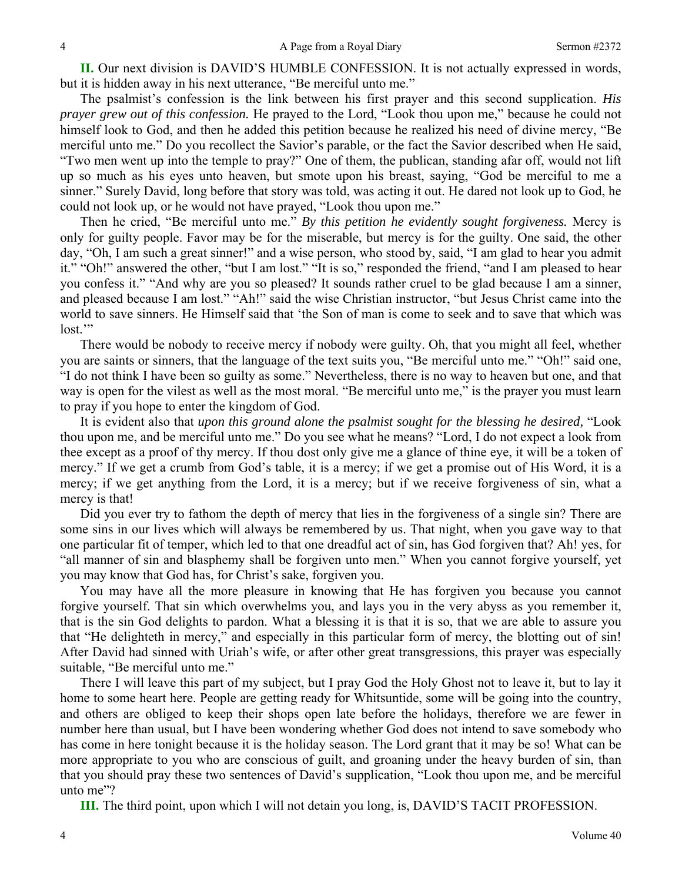**II.** Our next division is DAVID'S HUMBLE CONFESSION. It is not actually expressed in words, but it is hidden away in his next utterance, "Be merciful unto me."

The psalmist's confession is the link between his first prayer and this second supplication. *His prayer grew out of this confession.* He prayed to the Lord, "Look thou upon me," because he could not himself look to God, and then he added this petition because he realized his need of divine mercy, "Be merciful unto me." Do you recollect the Savior's parable, or the fact the Savior described when He said, "Two men went up into the temple to pray?" One of them, the publican, standing afar off, would not lift up so much as his eyes unto heaven, but smote upon his breast, saying, "God be merciful to me a sinner." Surely David, long before that story was told, was acting it out. He dared not look up to God, he could not look up, or he would not have prayed, "Look thou upon me."

Then he cried, "Be merciful unto me." *By this petition he evidently sought forgiveness.* Mercy is only for guilty people. Favor may be for the miserable, but mercy is for the guilty. One said, the other day, "Oh, I am such a great sinner!" and a wise person, who stood by, said, "I am glad to hear you admit it." "Oh!" answered the other, "but I am lost." "It is so," responded the friend, "and I am pleased to hear you confess it." "And why are you so pleased? It sounds rather cruel to be glad because I am a sinner, and pleased because I am lost." "Ah!" said the wise Christian instructor, "but Jesus Christ came into the world to save sinners. He Himself said that 'the Son of man is come to seek and to save that which was lost."

There would be nobody to receive mercy if nobody were guilty. Oh, that you might all feel, whether you are saints or sinners, that the language of the text suits you, "Be merciful unto me." "Oh!" said one, "I do not think I have been so guilty as some." Nevertheless, there is no way to heaven but one, and that way is open for the vilest as well as the most moral. "Be merciful unto me," is the prayer you must learn to pray if you hope to enter the kingdom of God.

It is evident also that *upon this ground alone the psalmist sought for the blessing he desired,* "Look thou upon me, and be merciful unto me." Do you see what he means? "Lord, I do not expect a look from thee except as a proof of thy mercy. If thou dost only give me a glance of thine eye, it will be a token of mercy." If we get a crumb from God's table, it is a mercy; if we get a promise out of His Word, it is a mercy; if we get anything from the Lord, it is a mercy; but if we receive forgiveness of sin, what a mercy is that!

Did you ever try to fathom the depth of mercy that lies in the forgiveness of a single sin? There are some sins in our lives which will always be remembered by us. That night, when you gave way to that one particular fit of temper, which led to that one dreadful act of sin, has God forgiven that? Ah! yes, for "all manner of sin and blasphemy shall be forgiven unto men." When you cannot forgive yourself, yet you may know that God has, for Christ's sake, forgiven you.

You may have all the more pleasure in knowing that He has forgiven you because you cannot forgive yourself. That sin which overwhelms you, and lays you in the very abyss as you remember it, that is the sin God delights to pardon. What a blessing it is that it is so, that we are able to assure you that "He delighteth in mercy," and especially in this particular form of mercy, the blotting out of sin! After David had sinned with Uriah's wife, or after other great transgressions, this prayer was especially suitable, "Be merciful unto me."

There I will leave this part of my subject, but I pray God the Holy Ghost not to leave it, but to lay it home to some heart here. People are getting ready for Whitsuntide, some will be going into the country, and others are obliged to keep their shops open late before the holidays, therefore we are fewer in number here than usual, but I have been wondering whether God does not intend to save somebody who has come in here tonight because it is the holiday season. The Lord grant that it may be so! What can be more appropriate to you who are conscious of guilt, and groaning under the heavy burden of sin, than that you should pray these two sentences of David's supplication, "Look thou upon me, and be merciful unto me"?

**III.** The third point, upon which I will not detain you long, is, DAVID'S TACIT PROFESSION.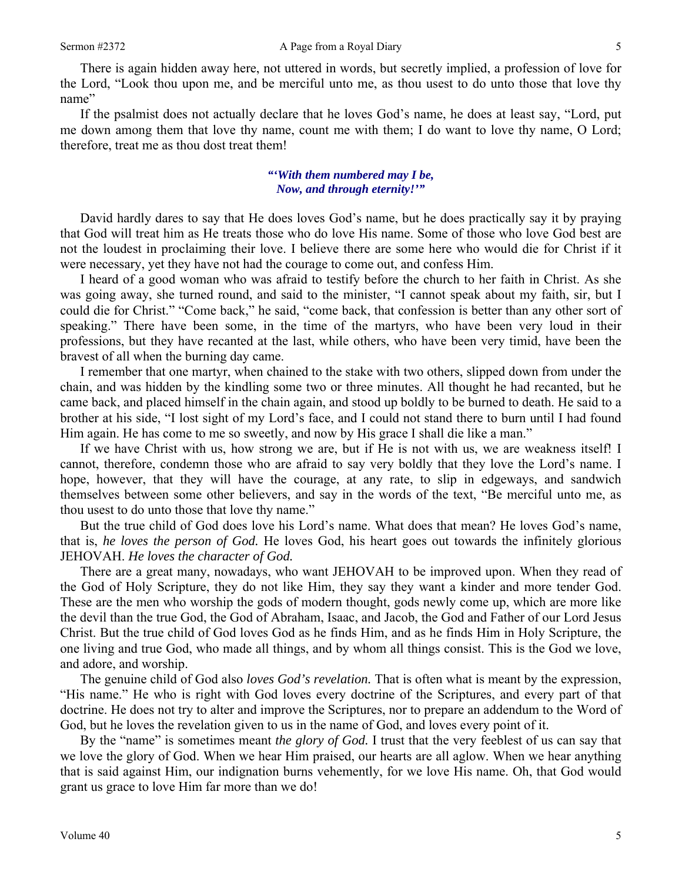There is again hidden away here, not uttered in words, but secretly implied, a profession of love for the Lord, "Look thou upon me, and be merciful unto me, as thou usest to do unto those that love thy name"

If the psalmist does not actually declare that he loves God's name, he does at least say, "Lord, put me down among them that love thy name, count me with them; I do want to love thy name, O Lord; therefore, treat me as thou dost treat them!

## *"'With them numbered may I be, Now, and through eternity!'"*

David hardly dares to say that He does loves God's name, but he does practically say it by praying that God will treat him as He treats those who do love His name. Some of those who love God best are not the loudest in proclaiming their love. I believe there are some here who would die for Christ if it were necessary, yet they have not had the courage to come out, and confess Him.

I heard of a good woman who was afraid to testify before the church to her faith in Christ. As she was going away, she turned round, and said to the minister, "I cannot speak about my faith, sir, but I could die for Christ." "Come back," he said, "come back, that confession is better than any other sort of speaking." There have been some, in the time of the martyrs, who have been very loud in their professions, but they have recanted at the last, while others, who have been very timid, have been the bravest of all when the burning day came.

I remember that one martyr, when chained to the stake with two others, slipped down from under the chain, and was hidden by the kindling some two or three minutes. All thought he had recanted, but he came back, and placed himself in the chain again, and stood up boldly to be burned to death. He said to a brother at his side, "I lost sight of my Lord's face, and I could not stand there to burn until I had found Him again. He has come to me so sweetly, and now by His grace I shall die like a man."

If we have Christ with us, how strong we are, but if He is not with us, we are weakness itself! I cannot, therefore, condemn those who are afraid to say very boldly that they love the Lord's name. I hope, however, that they will have the courage, at any rate, to slip in edgeways, and sandwich themselves between some other believers, and say in the words of the text, "Be merciful unto me, as thou usest to do unto those that love thy name."

But the true child of God does love his Lord's name. What does that mean? He loves God's name, that is, *he loves the person of God.* He loves God, his heart goes out towards the infinitely glorious JEHOVAH. *He loves the character of God.* 

There are a great many, nowadays, who want JEHOVAH to be improved upon. When they read of the God of Holy Scripture, they do not like Him, they say they want a kinder and more tender God. These are the men who worship the gods of modern thought, gods newly come up, which are more like the devil than the true God, the God of Abraham, Isaac, and Jacob, the God and Father of our Lord Jesus Christ. But the true child of God loves God as he finds Him, and as he finds Him in Holy Scripture, the one living and true God, who made all things, and by whom all things consist. This is the God we love, and adore, and worship.

The genuine child of God also *loves God's revelation.* That is often what is meant by the expression, "His name." He who is right with God loves every doctrine of the Scriptures, and every part of that doctrine. He does not try to alter and improve the Scriptures, nor to prepare an addendum to the Word of God, but he loves the revelation given to us in the name of God, and loves every point of it.

By the "name" is sometimes meant *the glory of God.* I trust that the very feeblest of us can say that we love the glory of God. When we hear Him praised, our hearts are all aglow. When we hear anything that is said against Him, our indignation burns vehemently, for we love His name. Oh, that God would grant us grace to love Him far more than we do!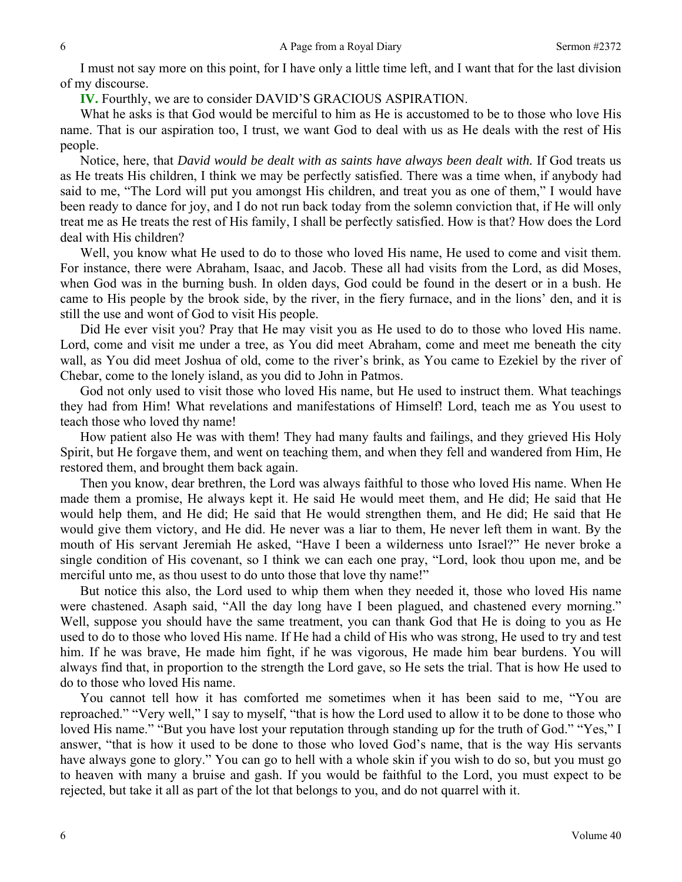I must not say more on this point, for I have only a little time left, and I want that for the last division of my discourse.

**IV.** Fourthly, we are to consider DAVID'S GRACIOUS ASPIRATION.

What he asks is that God would be merciful to him as He is accustomed to be to those who love His name. That is our aspiration too, I trust, we want God to deal with us as He deals with the rest of His people.

Notice, here, that *David would be dealt with as saints have always been dealt with*. If God treats us as He treats His children, I think we may be perfectly satisfied. There was a time when, if anybody had said to me, "The Lord will put you amongst His children, and treat you as one of them," I would have been ready to dance for joy, and I do not run back today from the solemn conviction that, if He will only treat me as He treats the rest of His family, I shall be perfectly satisfied. How is that? How does the Lord deal with His children?

Well, you know what He used to do to those who loved His name, He used to come and visit them. For instance, there were Abraham, Isaac, and Jacob. These all had visits from the Lord, as did Moses, when God was in the burning bush. In olden days, God could be found in the desert or in a bush. He came to His people by the brook side, by the river, in the fiery furnace, and in the lions' den, and it is still the use and wont of God to visit His people.

Did He ever visit you? Pray that He may visit you as He used to do to those who loved His name. Lord, come and visit me under a tree, as You did meet Abraham, come and meet me beneath the city wall, as You did meet Joshua of old, come to the river's brink, as You came to Ezekiel by the river of Chebar, come to the lonely island, as you did to John in Patmos.

God not only used to visit those who loved His name, but He used to instruct them. What teachings they had from Him! What revelations and manifestations of Himself! Lord, teach me as You usest to teach those who loved thy name!

How patient also He was with them! They had many faults and failings, and they grieved His Holy Spirit, but He forgave them, and went on teaching them, and when they fell and wandered from Him, He restored them, and brought them back again.

Then you know, dear brethren, the Lord was always faithful to those who loved His name. When He made them a promise, He always kept it. He said He would meet them, and He did; He said that He would help them, and He did; He said that He would strengthen them, and He did; He said that He would give them victory, and He did. He never was a liar to them, He never left them in want. By the mouth of His servant Jeremiah He asked, "Have I been a wilderness unto Israel?" He never broke a single condition of His covenant, so I think we can each one pray, "Lord, look thou upon me, and be merciful unto me, as thou usest to do unto those that love thy name!"

But notice this also, the Lord used to whip them when they needed it, those who loved His name were chastened. Asaph said, "All the day long have I been plagued, and chastened every morning." Well, suppose you should have the same treatment, you can thank God that He is doing to you as He used to do to those who loved His name. If He had a child of His who was strong, He used to try and test him. If he was brave, He made him fight, if he was vigorous, He made him bear burdens. You will always find that, in proportion to the strength the Lord gave, so He sets the trial. That is how He used to do to those who loved His name.

You cannot tell how it has comforted me sometimes when it has been said to me, "You are reproached." "Very well," I say to myself, "that is how the Lord used to allow it to be done to those who loved His name." "But you have lost your reputation through standing up for the truth of God." "Yes," I answer, "that is how it used to be done to those who loved God's name, that is the way His servants have always gone to glory." You can go to hell with a whole skin if you wish to do so, but you must go to heaven with many a bruise and gash. If you would be faithful to the Lord, you must expect to be rejected, but take it all as part of the lot that belongs to you, and do not quarrel with it.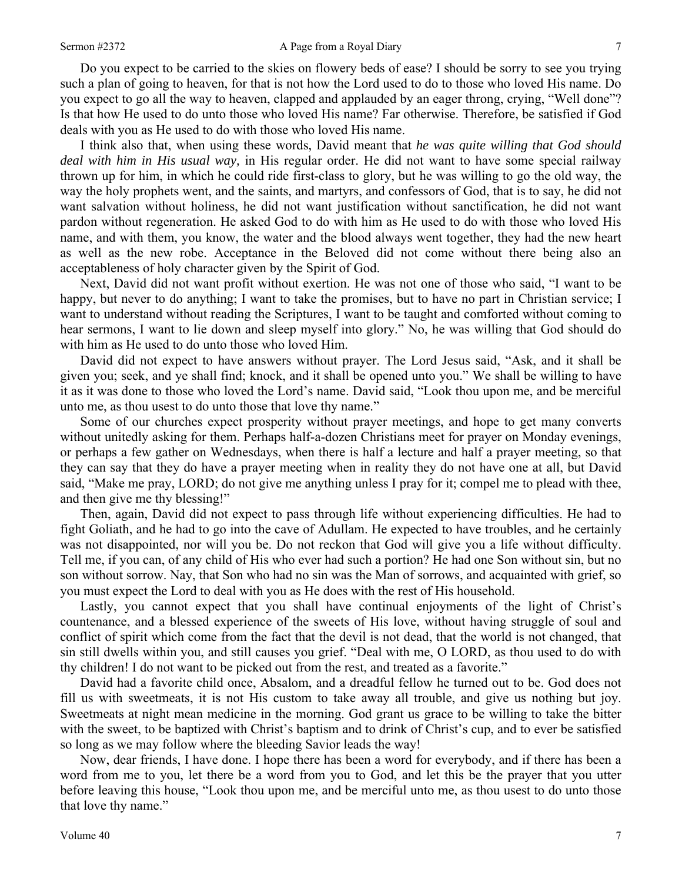#### Sermon #2372 **A Page from a Royal Diary** 7

Do you expect to be carried to the skies on flowery beds of ease? I should be sorry to see you trying such a plan of going to heaven, for that is not how the Lord used to do to those who loved His name. Do you expect to go all the way to heaven, clapped and applauded by an eager throng, crying, "Well done"? Is that how He used to do unto those who loved His name? Far otherwise. Therefore, be satisfied if God deals with you as He used to do with those who loved His name.

I think also that, when using these words, David meant that *he was quite willing that God should deal with him in His usual way,* in His regular order. He did not want to have some special railway thrown up for him, in which he could ride first-class to glory, but he was willing to go the old way, the way the holy prophets went, and the saints, and martyrs, and confessors of God, that is to say, he did not want salvation without holiness, he did not want justification without sanctification, he did not want pardon without regeneration. He asked God to do with him as He used to do with those who loved His name, and with them, you know, the water and the blood always went together, they had the new heart as well as the new robe. Acceptance in the Beloved did not come without there being also an acceptableness of holy character given by the Spirit of God.

Next, David did not want profit without exertion. He was not one of those who said, "I want to be happy, but never to do anything; I want to take the promises, but to have no part in Christian service; I want to understand without reading the Scriptures, I want to be taught and comforted without coming to hear sermons, I want to lie down and sleep myself into glory." No, he was willing that God should do with him as He used to do unto those who loved Him.

David did not expect to have answers without prayer. The Lord Jesus said, "Ask, and it shall be given you; seek, and ye shall find; knock, and it shall be opened unto you." We shall be willing to have it as it was done to those who loved the Lord's name. David said, "Look thou upon me, and be merciful unto me, as thou usest to do unto those that love thy name."

Some of our churches expect prosperity without prayer meetings, and hope to get many converts without unitedly asking for them. Perhaps half-a-dozen Christians meet for prayer on Monday evenings, or perhaps a few gather on Wednesdays, when there is half a lecture and half a prayer meeting, so that they can say that they do have a prayer meeting when in reality they do not have one at all, but David said, "Make me pray, LORD; do not give me anything unless I pray for it; compel me to plead with thee, and then give me thy blessing!"

Then, again, David did not expect to pass through life without experiencing difficulties. He had to fight Goliath, and he had to go into the cave of Adullam. He expected to have troubles, and he certainly was not disappointed, nor will you be. Do not reckon that God will give you a life without difficulty. Tell me, if you can, of any child of His who ever had such a portion? He had one Son without sin, but no son without sorrow. Nay, that Son who had no sin was the Man of sorrows, and acquainted with grief, so you must expect the Lord to deal with you as He does with the rest of His household.

Lastly, you cannot expect that you shall have continual enjoyments of the light of Christ's countenance, and a blessed experience of the sweets of His love, without having struggle of soul and conflict of spirit which come from the fact that the devil is not dead, that the world is not changed, that sin still dwells within you, and still causes you grief. "Deal with me, O LORD, as thou used to do with thy children! I do not want to be picked out from the rest, and treated as a favorite."

David had a favorite child once, Absalom, and a dreadful fellow he turned out to be. God does not fill us with sweetmeats, it is not His custom to take away all trouble, and give us nothing but joy. Sweetmeats at night mean medicine in the morning. God grant us grace to be willing to take the bitter with the sweet, to be baptized with Christ's baptism and to drink of Christ's cup, and to ever be satisfied so long as we may follow where the bleeding Savior leads the way!

Now, dear friends, I have done. I hope there has been a word for everybody, and if there has been a word from me to you, let there be a word from you to God, and let this be the prayer that you utter before leaving this house, "Look thou upon me, and be merciful unto me, as thou usest to do unto those that love thy name."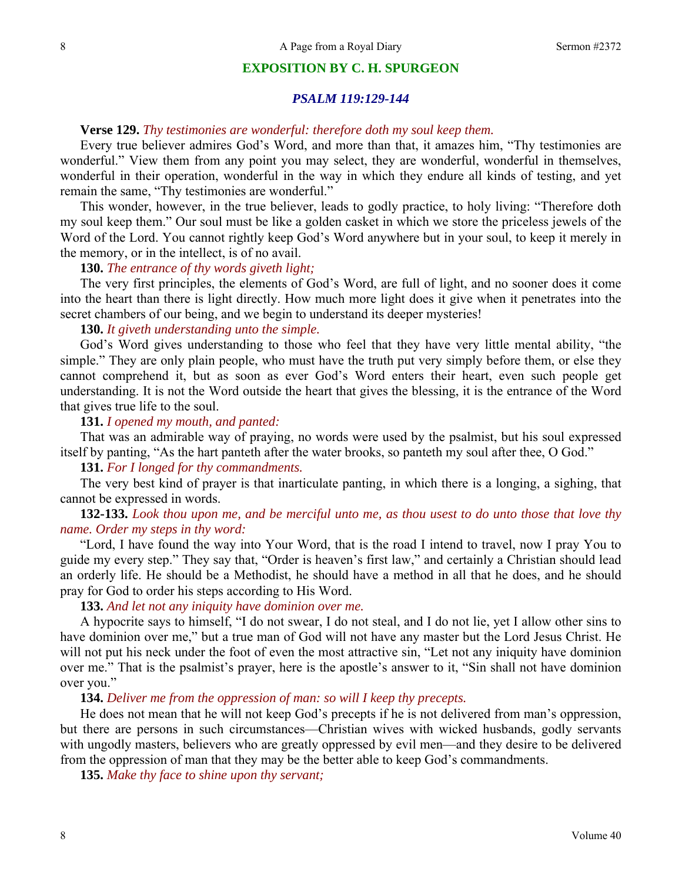#### **EXPOSITION BY C. H. SPURGEON**

#### *PSALM 119:129-144*

## **Verse 129.** *Thy testimonies are wonderful: therefore doth my soul keep them.*

Every true believer admires God's Word, and more than that, it amazes him, "Thy testimonies are wonderful." View them from any point you may select, they are wonderful, wonderful in themselves, wonderful in their operation, wonderful in the way in which they endure all kinds of testing, and yet remain the same, "Thy testimonies are wonderful."

This wonder, however, in the true believer, leads to godly practice, to holy living: "Therefore doth my soul keep them." Our soul must be like a golden casket in which we store the priceless jewels of the Word of the Lord. You cannot rightly keep God's Word anywhere but in your soul, to keep it merely in the memory, or in the intellect, is of no avail.

#### **130.** *The entrance of thy words giveth light;*

The very first principles, the elements of God's Word, are full of light, and no sooner does it come into the heart than there is light directly. How much more light does it give when it penetrates into the secret chambers of our being, and we begin to understand its deeper mysteries!

## **130.** *It giveth understanding unto the simple.*

God's Word gives understanding to those who feel that they have very little mental ability, "the simple." They are only plain people, who must have the truth put very simply before them, or else they cannot comprehend it, but as soon as ever God's Word enters their heart, even such people get understanding. It is not the Word outside the heart that gives the blessing, it is the entrance of the Word that gives true life to the soul.

## **131.** *I opened my mouth, and panted:*

That was an admirable way of praying, no words were used by the psalmist, but his soul expressed itself by panting, "As the hart panteth after the water brooks, so panteth my soul after thee, O God."

#### **131.** *For I longed for thy commandments.*

The very best kind of prayer is that inarticulate panting, in which there is a longing, a sighing, that cannot be expressed in words.

## **132-133.** *Look thou upon me, and be merciful unto me, as thou usest to do unto those that love thy name. Order my steps in thy word:*

"Lord, I have found the way into Your Word, that is the road I intend to travel, now I pray You to guide my every step." They say that, "Order is heaven's first law," and certainly a Christian should lead an orderly life. He should be a Methodist, he should have a method in all that he does, and he should pray for God to order his steps according to His Word.

# **133.** *And let not any iniquity have dominion over me.*

A hypocrite says to himself, "I do not swear, I do not steal, and I do not lie, yet I allow other sins to have dominion over me," but a true man of God will not have any master but the Lord Jesus Christ. He will not put his neck under the foot of even the most attractive sin, "Let not any iniquity have dominion over me." That is the psalmist's prayer, here is the apostle's answer to it, "Sin shall not have dominion over you."

## **134.** *Deliver me from the oppression of man: so will I keep thy precepts.*

He does not mean that he will not keep God's precepts if he is not delivered from man's oppression, but there are persons in such circumstances—Christian wives with wicked husbands, godly servants with ungodly masters, believers who are greatly oppressed by evil men—and they desire to be delivered from the oppression of man that they may be the better able to keep God's commandments.

**135.** *Make thy face to shine upon thy servant;*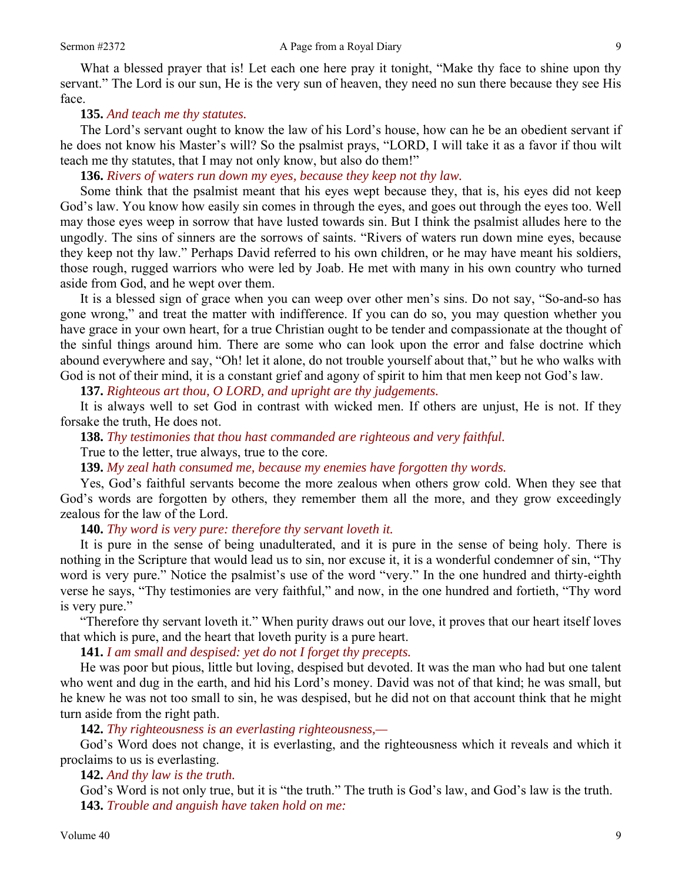What a blessed prayer that is! Let each one here pray it tonight, "Make thy face to shine upon thy servant." The Lord is our sun, He is the very sun of heaven, they need no sun there because they see His face.

## **135.** *And teach me thy statutes.*

The Lord's servant ought to know the law of his Lord's house, how can he be an obedient servant if he does not know his Master's will? So the psalmist prays, "LORD, I will take it as a favor if thou wilt teach me thy statutes, that I may not only know, but also do them!"

**136.** *Rivers of waters run down my eyes, because they keep not thy law.* 

Some think that the psalmist meant that his eyes wept because they, that is, his eyes did not keep God's law. You know how easily sin comes in through the eyes, and goes out through the eyes too. Well may those eyes weep in sorrow that have lusted towards sin. But I think the psalmist alludes here to the ungodly. The sins of sinners are the sorrows of saints. "Rivers of waters run down mine eyes, because they keep not thy law." Perhaps David referred to his own children, or he may have meant his soldiers, those rough, rugged warriors who were led by Joab. He met with many in his own country who turned aside from God, and he wept over them.

It is a blessed sign of grace when you can weep over other men's sins. Do not say, "So-and-so has gone wrong," and treat the matter with indifference. If you can do so, you may question whether you have grace in your own heart, for a true Christian ought to be tender and compassionate at the thought of the sinful things around him. There are some who can look upon the error and false doctrine which abound everywhere and say, "Oh! let it alone, do not trouble yourself about that," but he who walks with God is not of their mind, it is a constant grief and agony of spirit to him that men keep not God's law.

**137.** *Righteous art thou, O LORD, and upright are thy judgements.* 

It is always well to set God in contrast with wicked men. If others are unjust, He is not. If they forsake the truth, He does not.

**138.** *Thy testimonies that thou hast commanded are righteous and very faithful.* 

True to the letter, true always, true to the core.

**139.** *My zeal hath consumed me, because my enemies have forgotten thy words.* 

Yes, God's faithful servants become the more zealous when others grow cold. When they see that God's words are forgotten by others, they remember them all the more, and they grow exceedingly zealous for the law of the Lord.

**140.** *Thy word is very pure: therefore thy servant loveth it.* 

It is pure in the sense of being unadulterated, and it is pure in the sense of being holy. There is nothing in the Scripture that would lead us to sin, nor excuse it, it is a wonderful condemner of sin, "Thy word is very pure." Notice the psalmist's use of the word "very." In the one hundred and thirty-eighth verse he says, "Thy testimonies are very faithful," and now, in the one hundred and fortieth, "Thy word is very pure."

"Therefore thy servant loveth it." When purity draws out our love, it proves that our heart itself loves that which is pure, and the heart that loveth purity is a pure heart.

**141.** *I am small and despised: yet do not I forget thy precepts.* 

He was poor but pious, little but loving, despised but devoted. It was the man who had but one talent who went and dug in the earth, and hid his Lord's money. David was not of that kind; he was small, but he knew he was not too small to sin, he was despised, but he did not on that account think that he might turn aside from the right path.

**142.** *Thy righteousness is an everlasting righteousness,—* 

God's Word does not change, it is everlasting, and the righteousness which it reveals and which it proclaims to us is everlasting.

**142.** *And thy law is the truth.* 

God's Word is not only true, but it is "the truth." The truth is God's law, and God's law is the truth. **143.** *Trouble and anguish have taken hold on me:*